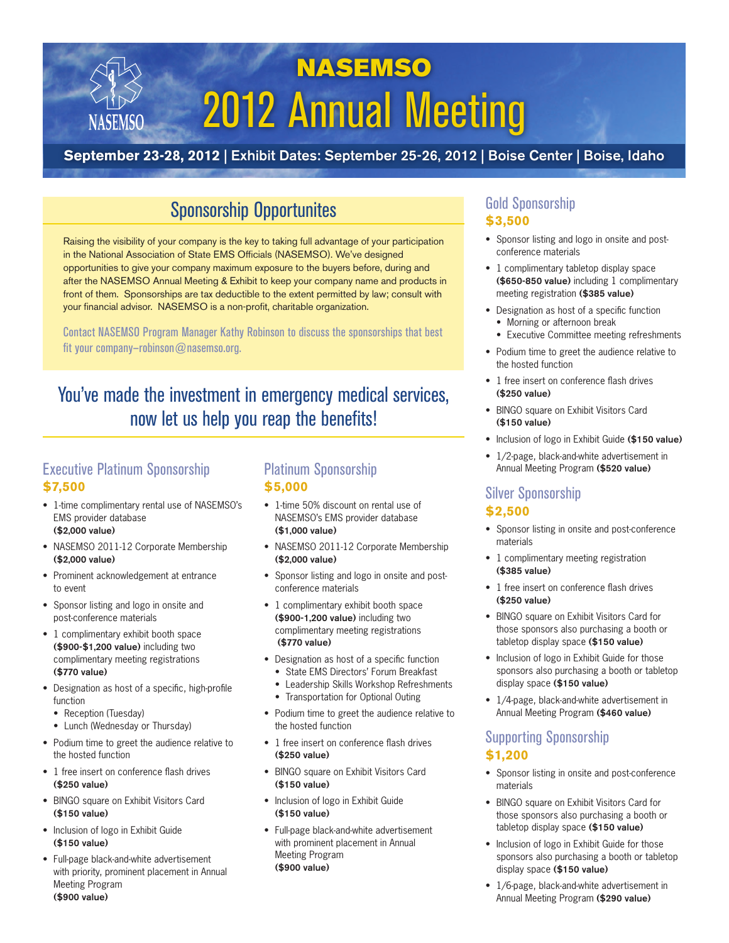# NASEMSO 2012 Annual Meeting

### **September 23-28, 2012** | Exhibit Dates: September 25-26, 2012 | Boise Center | Boise, Idaho

# Sponsorship Opportunites

Raising the visibility of your company is the key to taking full advantage of your participation in the National Association of State EMS Officials (NASEMSO). We've designed opportunities to give your company maximum exposure to the buyers before, during and after the NASEMSO Annual Meeting & Exhibit to keep your company name and products in front of them. Sponsorships are tax deductible to the extent permitted by law; consult with your financial advisor. NASEMSO is a non-profit, charitable organization.

Contact NASEMSO Program Manager Kathy Robinson to discuss the sponsorships that best fit your company-robinson@nasemso.org.

# You've made the investment in emergency medical services, now let us help you reap the benefits!

### Executive Platinum Sponsorship **\$7,500**

NASEMSC

- 1-time complimentary rental use of NASEMSO's EMS provider database (\$2,000 value)
- NASEMSO 2011-12 Corporate Membership (\$2,000 value)
- Prominent acknowledgement at entrance to event
- Sponsor listing and logo in onsite and post-conference materials
- 1 complimentary exhibit booth space (\$900-\$1,200 value) including two complimentary meeting registrations (\$770 value)
- Designation as host of a specific, high-profile function
	- Reception (Tuesday)
	- Lunch (Wednesday or Thursday)
- Podium time to greet the audience relative to the hosted function
- 1 free insert on conference flash drives (\$250 value)
- BINGO square on Exhibit Visitors Card (\$150 value)
- Inclusion of logo in Exhibit Guide (\$150 value)
- Full-page black-and-white advertisement with priority, prominent placement in Annual Meeting Program (\$900 value)

#### Platinum Sponsorship **\$5,000**

- 1-time 50% discount on rental use of NASEMSO's EMS provider database (\$1,000 value)
- NASEMSO 2011-12 Corporate Membership (\$2,000 value)
- Sponsor listing and logo in onsite and postconference materials
- 1 complimentary exhibit booth space (\$900-1,200 value) including two complimentary meeting registrations (\$770 value)
- Designation as host of a specific function
	- State EMS Directors' Forum Breakfast
	- Leadership Skills Workshop Refreshments
	- Transportation for Optional Outing
- Podium time to greet the audience relative to the hosted function
- 1 free insert on conference flash drives (\$250 value)
- BINGO square on Exhibit Visitors Card (\$150 value)
- Inclusion of logo in Exhibit Guide (\$150 value)
- Full-page black-and-white advertisement with prominent placement in Annual Meeting Program (\$900 value)

### Gold Sponsorship **\$3,500**

- Sponsor listing and logo in onsite and postconference materials
- 1 complimentary tabletop display space (\$650-850 value) including 1 complimentary meeting registration (\$385 value)
- Designation as host of a specific function
	- Morning or afternoon break
	- Executive Committee meeting refreshments
- Podium time to greet the audience relative to the hosted function
- 1 free insert on conference flash drives (\$250 value)
- BINGO square on Exhibit Visitors Card (\$150 value)
- Inclusion of logo in Exhibit Guide (\$150 value)
- 1/2-page, black-and-white advertisement in Annual Meeting Program (\$520 value)

#### Silver Sponsorship **\$2,500**

- Sponsor listing in onsite and post-conference materials
- 1 complimentary meeting registration (\$385 value)
- 1 free insert on conference flash drives (\$250 value)
- BINGO square on Exhibit Visitors Card for those sponsors also purchasing a booth or tabletop display space (\$150 value)
- Inclusion of logo in Exhibit Guide for those sponsors also purchasing a booth or tabletop display space (\$150 value)
- 1/4-page, black-and-white advertisement in Annual Meeting Program (\$460 value)

#### Supporting Sponsorship **\$1,200**

- Sponsor listing in onsite and post-conference materials
- BINGO square on Exhibit Visitors Card for those sponsors also purchasing a booth or tabletop display space (\$150 value)
- Inclusion of logo in Exhibit Guide for those sponsors also purchasing a booth or tabletop display space (\$150 value)
- 1/6-page, black-and-white advertisement in Annual Meeting Program (\$290 value)